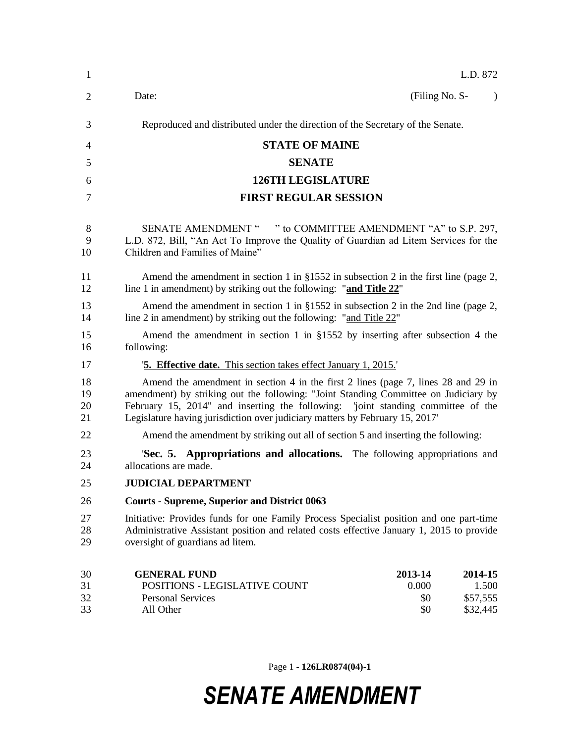| $\mathbf{1}$         | L.D. 872                                                                                                                                                                                                                                                                                                                                    |  |  |
|----------------------|---------------------------------------------------------------------------------------------------------------------------------------------------------------------------------------------------------------------------------------------------------------------------------------------------------------------------------------------|--|--|
| 2                    | (Filing No. S-<br>Date:<br>$\lambda$                                                                                                                                                                                                                                                                                                        |  |  |
| 3                    | Reproduced and distributed under the direction of the Secretary of the Senate.                                                                                                                                                                                                                                                              |  |  |
| 4                    | <b>STATE OF MAINE</b>                                                                                                                                                                                                                                                                                                                       |  |  |
| 5                    | <b>SENATE</b>                                                                                                                                                                                                                                                                                                                               |  |  |
| 6                    | <b>126TH LEGISLATURE</b>                                                                                                                                                                                                                                                                                                                    |  |  |
| 7                    | <b>FIRST REGULAR SESSION</b>                                                                                                                                                                                                                                                                                                                |  |  |
| 8<br>9<br>10         | SENATE AMENDMENT " " to COMMITTEE AMENDMENT "A" to S.P. 297,<br>L.D. 872, Bill, "An Act To Improve the Quality of Guardian ad Litem Services for the<br>Children and Families of Maine"                                                                                                                                                     |  |  |
| 11<br>12             | Amend the amendment in section 1 in $\S 1552$ in subsection 2 in the first line (page 2,<br>line 1 in amendment) by striking out the following: "and Title 22"                                                                                                                                                                              |  |  |
| 13<br>14             | Amend the amendment in section 1 in $\S 1552$ in subsection 2 in the 2nd line (page 2,<br>line 2 in amendment) by striking out the following: "and Title 22"                                                                                                                                                                                |  |  |
| 15<br>16             | Amend the amendment in section 1 in $\S 1552$ by inserting after subsection 4 the<br>following:                                                                                                                                                                                                                                             |  |  |
| 17                   | <b>5. Effective date.</b> This section takes effect January 1, 2015.                                                                                                                                                                                                                                                                        |  |  |
| 18<br>19<br>20<br>21 | Amend the amendment in section 4 in the first 2 lines (page 7, lines 28 and 29 in<br>amendment) by striking out the following: "Joint Standing Committee on Judiciary by<br>February 15, 2014" and inserting the following: 'joint standing committee of the<br>Legislature having jurisdiction over judiciary matters by February 15, 2017 |  |  |
| 22                   | Amend the amendment by striking out all of section 5 and inserting the following:                                                                                                                                                                                                                                                           |  |  |
| 23<br>24             | Sec. 5. Appropriations and allocations. The following appropriations and<br>allocations are made.                                                                                                                                                                                                                                           |  |  |
| 25                   | <b>JUDICIAL DEPARTMENT</b>                                                                                                                                                                                                                                                                                                                  |  |  |
| 26                   | <b>Courts - Supreme, Superior and District 0063</b>                                                                                                                                                                                                                                                                                         |  |  |
| 27<br>28<br>29       | Initiative: Provides funds for one Family Process Specialist position and one part-time<br>Administrative Assistant position and related costs effective January 1, 2015 to provide<br>oversight of guardians ad litem.                                                                                                                     |  |  |
| 30<br>31<br>32<br>33 | <b>GENERAL FUND</b><br>2013-14<br>2014-15<br>POSITIONS - LEGISLATIVE COUNT<br>0.000<br>1.500<br><b>Personal Services</b><br>\$57,555<br>\$0<br>All Other<br>\$0<br>\$32,445                                                                                                                                                                 |  |  |

Page 1 **- 126LR0874(04)-1**

## *SENATE AMENDMENT*